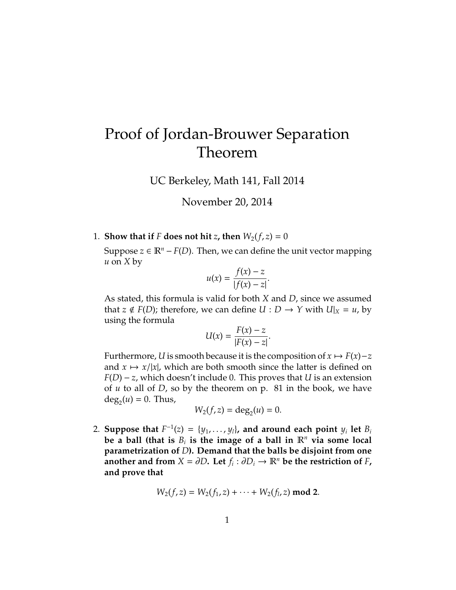# Proof of Jordan-Brouwer Separation Theorem

UC Berkeley, Math 141, Fall 2014

November 20, 2014

1. **Show that if** *F* **does not hit** *z*, **then**  $W_2(f, z) = 0$ 

Suppose *z* ∈  $\mathbb{R}^n$  – *F*(*D*). Then, we can define the unit vector mapping *u* on *X* by

$$
u(x) = \frac{f(x) - z}{|f(x) - z|}.
$$

As stated, this formula is valid for both *X* and *D*, since we assumed that  $z \notin F(D)$ ; therefore, we can define  $U : D \to Y$  with  $U|_X = u$ , by using the formula

$$
U(x) = \frac{F(x) - z}{|F(x) - z|}.
$$

Furthermore, *U* is smooth because it is the composition of  $x \mapsto F(x)-z$ and  $x \mapsto x/|x|$ , which are both smooth since the latter is defined on *F*(*D*) − *z*, which doesn't include 0. This proves that *U* is an extension of *u* to all of *D*, so by the theorem on p. 81 in the book, we have  $deg_2(u) = 0$ . Thus,

$$
W_2(f,z)=\deg_2(u)=0.
$$

2. Suppose that  $F^{-1}(z) = \{y_1, \ldots, y_l\}$ , and around each point  $y_i$  let  $B_i$ **be a ball (that is**  $B_i$  is the image of a ball in  $\mathbb{R}^n$  via some local **parametrization of** *D***). Demand that the balls be disjoint from one another and from**  $X = \partial D$ . Let  $f_i : \partial D_i \to \mathbb{R}^n$  be the restriction of  $F$ , **and prove that**

$$
W_2(f,z) = W_2(f_1,z) + \cdots + W_2(f_l,z) \bmod 2.
$$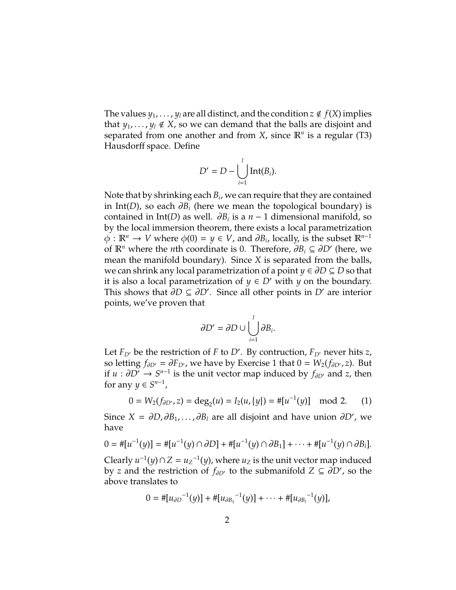The values  $y_1, \ldots, y_l$  are all distinct, and the condition  $z \notin f(X)$  implies that  $y_1, \ldots, y_l \notin X$ , so we can demand that the balls are disjoint and separated from one another and from *X*, since R*<sup>n</sup>* is a regular (T3) Hausdorff space. Define

$$
D'=D-\bigcup_{i=1}^l \mathrm{Int}(B_i).
$$

Note that by shrinking each *B<sup>i</sup>* , we can require that they are contained in Int(*D*), so each  $\partial B_i$  (here we mean the topological boundary) is contained in Int(*D*) as well.  $\partial B_i$  is a *n* − 1 dimensional manifold, so by the local immersion theorem, there exists a local parametrization  $\phi: \mathbb{R}^n \to V$  where  $\phi(0) = y \in V$ , and  $\partial B_i$ , locally, is the subset  $\mathbb{R}^{n-1}$ of  $\mathbb{R}^n$  where the *n*th coordinate is 0. Therefore,  $\partial B_i \subseteq \partial D'$  (here, we mean the manifold boundary). Since *X* is separated from the balls, we can shrink any local parametrization of a point *y* ∈ ∂*D* ⊆ *D* so that it is also a local parametrization of *y* ∈ *D'* with *y* on the boundary. This shows that  $\partial D \subseteq \partial D'$ . Since all other points in *D'* are interior points, we've proven that

$$
\partial D' = \partial D \cup \bigcup_{i=1}^l \partial B_i.
$$

Let  $F_{D}$  be the restriction of *F* to *D'*. By contruction,  $F_{D}$  never hits *z*, so letting  $f_{\partial D'} = \partial F_{D'}$ , we have by Exercise 1 that  $0 = W_2(f_{\partial D'}, z)$ . But if *u* :  $\partial D'$  →  $S^{n-1}$  is the unit vector map induced by  $f_{\partial D'}$  and *z*, then for any  $y \in S^{n-1}$ ,

$$
0 = W_2(f_{\partial D'}, z) = \deg_2(u) = I_2(u, \{y\}) = #[u^{-1}(y)] \mod 2. \tag{1}
$$

Since  $X = \partial D, \partial B_1, \dots, \partial B_l$  are all disjoint and have union  $\partial D'$ , we have

$$
0 = #[u^{-1}(y)] = #[u^{-1}(y) \cap \partial D] + #[u^{-1}(y) \cap \partial B_1] + \cdots + #[u^{-1}(y) \cap \partial B_l].
$$

Clearly  $u^{-1}(y) \cap Z = u_Z^{-1}(y)$ , where  $u_Z$  is the unit vector map induced by *z* and the restriction of  $f_{\partial D}$  to the submanifold  $Z \subseteq \partial D'$ , so the above translates to

$$
0 = #[u_{\partial D}^{-1}(y)] + #[u_{\partial B_1}^{-1}(y)] + \cdots + #[u_{\partial B_l}^{-1}(y)],
$$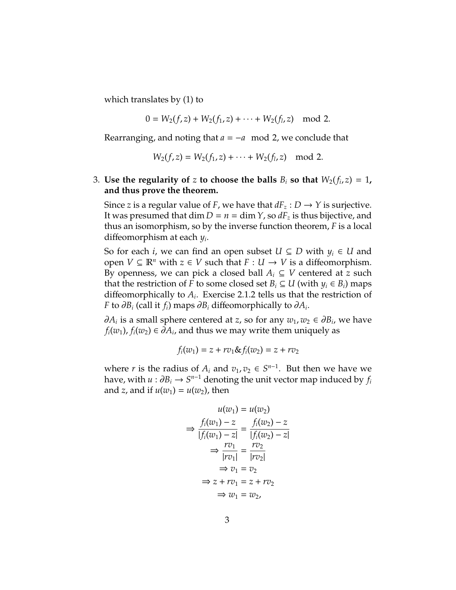which translates by (1) to

$$
0 = W_2(f,z) + W_2(f_1,z) + \cdots + W_2(f_l,z) \mod 2.
$$

Rearranging, and noting that *a* = −*a* mod 2, we conclude that

$$
W_2(f,z) = W_2(f_1,z) + \cdots + W_2(f_l,z) \mod 2.
$$

## 3. Use the regularity of  $z$  to choose the balls  $B_i$  so that  $W_2(f_i,z) = 1$ , **and thus prove the theorem.**

Since *z* is a regular value of *F*, we have that  $dF_z: D \to Y$  is surjective. It was presumed that  $\dim D = n = \dim Y$ , so  $dF_z$  is thus bijective, and thus an isomorphism, so by the inverse function theorem, *F* is a local diffeomorphism at each *y<sup>i</sup>* .

So for each *i*, we can find an open subset  $U \subseteq D$  with  $y_i \in U$  and open *V* ⊆  $\mathbb{R}^n$  with *z* ∈ *V* such that *F* : *U* → *V* is a diffeomorphism. By openness, we can pick a closed ball  $A_i \subseteq V$  centered at *z* such that the restriction of *F* to some closed set  $B_i \subseteq U$  (with  $y_i \in B_i$ ) maps diffeomorphically to  $A_i$ . Exercise 2.1.2 tells us that the restriction of *F* to ∂*B<sup>i</sup>* (call it *fi*) maps ∂*B<sup>i</sup>* diffeomorphically to ∂*A<sup>i</sup>* .

 $∂A_i$  is a small sphere centered at *z*, so for any  $w_1, w_2 \in ∂B_i$ , we have  $f_i(w_1)$ ,  $f_i(w_2) \in \partial A_i$ , and thus we may write them uniquely as

$$
f_i(w_1) = z + r v_1 \& f_i(w_2) = z + r v_2
$$

where *r* is the radius of  $A_i$  and  $v_1, v_2 \in S^{n-1}$ . But then we have we have, with  $u : \partial B_i \to S^{n-1}$  denoting the unit vector map induced by  $f_i$ and *z*, and if  $u(w_1) = u(w_2)$ , then

$$
u(w_1) = u(w_2)
$$
  
\n
$$
\Rightarrow \frac{f_i(w_1) - z}{|f_i(w_1) - z|} = \frac{f_i(w_2) - z}{|f_i(w_2) - z|}
$$
  
\n
$$
\Rightarrow \frac{rv_1}{|rv_1|} = \frac{rv_2}{|rv_2|}
$$
  
\n
$$
\Rightarrow v_1 = v_2
$$
  
\n
$$
\Rightarrow z + rv_1 = z + rv_2
$$
  
\n
$$
\Rightarrow w_1 = w_2,
$$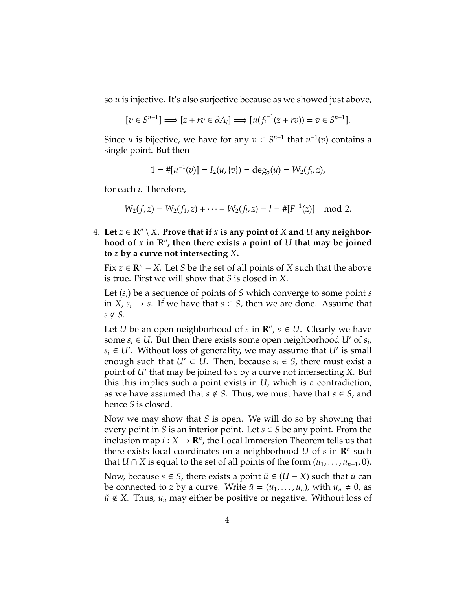so *u* is injective. It's also surjective because as we showed just above,

$$
[v \in S^{n-1}] \Longrightarrow [z + rv \in \partial A_i] \Longrightarrow [u(f_i^{-1}(z + rv)) = v \in S^{n-1}].
$$

Since *u* is bijective, we have for any  $v \in S^{n-1}$  that  $u^{-1}(v)$  contains a single point. But then

$$
1=\#[u^{-1}(v)]=I_2(u,\{v\})=\deg_2(u)=W_2(f_i,z),
$$

for each *i*. Therefore,

$$
W_2(f,z) = W_2(f_1,z) + \cdots + W_2(f_l,z) = l = #[F^{-1}(z)] \mod 2.
$$

 $4.$  Let  $z \in \mathbb{R}^n \setminus X$ . Prove that if  $x$  is any point of  $X$  and  $U$  any neighborhood of  $x$  in  $\mathbb{R}^n$ , then there exists a point of  $U$  that may be joined **to** *z* **by a curve not intersecting** *X***.**

Fix  $z \in \mathbb{R}^n - X$ . Let *S* be the set of all points of *X* such that the above is true. First we will show that *S* is closed in *X*.

Let (*si*) be a sequence of points of *S* which converge to some point *s* in *X*,  $s$ <sup>*i*</sup> → *s*. If we have that *s* ∈ *S*, then we are done. Assume that  $s \notin S$ .

Let *U* be an open neighborhood of *s* in  $\mathbb{R}^n$ ,  $s \in U$ . Clearly we have some  $s_i \in U$ . But then there exists some open neighborhood *U'* of  $s_i$ ,  $s_i \in U'$ . Without loss of generality, we may assume that *U*<sup> $\prime$ </sup> is small enough such that  $U' \subset U$ . Then, because  $s_i \in S$ , there must exist a point of *U*<sup> $\prime$ </sup> that may be joined to *z* by a curve not intersecting *X*. But this this implies such a point exists in *U*, which is a contradiction, as we have assumed that  $s \notin S$ . Thus, we must have that  $s \in S$ , and hence *S* is closed.

Now we may show that *S* is open. We will do so by showing that every point in *S* is an interior point. Let  $s \in S$  be any point. From the inclusion map  $i: X \to \mathbb{R}^n$ , the Local Immersion Theorem tells us that there exists local coordinates on a neighborhood *U* of *s* in  $\mathbb{R}^n$  such that *U* ∩ *X* is equal to the set of all points of the form  $(u_1, \ldots, u_{n-1}, 0)$ .

Now, because *s* ∈ *S*, there exists a point  $\tilde{u}$  ∈ (*U* − *X*) such that  $\tilde{u}$  can be connected to *z* by a curve. Write  $\tilde{u} = (u_1, \dots, u_n)$ , with  $u_n \neq 0$ , as  $\tilde{u} \notin X$ . Thus,  $u_n$  may either be positive or negative. Without loss of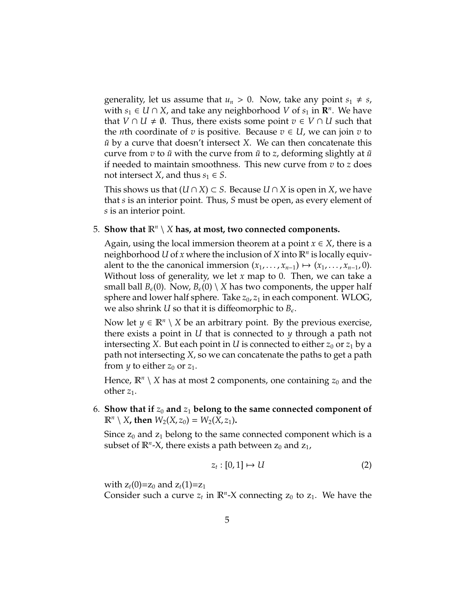generality, let us assume that  $u_n > 0$ . Now, take any point  $s_1 \neq s$ , with  $s_1 \in U \cap X$ , and take any neighborhood  $V$  of  $s_1$  in  $\mathbb{R}^n$ . We have that *V* ∩ *U*  $\neq$  0. Thus, there exists some point  $v \in V \cap U$  such that the *n*th coordinate of *v* is positive. Because  $v \in U$ , we can join *v* to *u*˜ by a curve that doesn't intersect *X*. We can then concatenate this curve from  $v$  to  $\tilde{u}$  with the curve from  $\tilde{u}$  to  $z$ , deforming slightly at  $\tilde{u}$ if needed to maintain smoothness. This new curve from *v* to *z* does not intersect *X*, and thus  $s_1 \in S$ .

This shows us that  $(U ∩ X) ⊂ S$ . Because  $U ∩ X$  is open in *X*, we have that *s* is an interior point. Thus, *S* must be open, as every element of *s* is an interior point.

## 5. Show that  $\mathbb{R}^n \setminus X$  has, at most, two connected components.

Again, using the local immersion theorem at a point  $x \in X$ , there is a neighborhood *U* of *x* where the inclusion of *X* into R*<sup>n</sup>* is locally equivalent to the the canonical immersion  $(x_1, \ldots, x_{n-1}) \mapsto (x_1, \ldots, x_{n-1}, 0)$ . Without loss of generality, we let *x* map to 0. Then, we can take a small ball  $B_{\epsilon}(0)$ . Now,  $B_{\epsilon}(0) \setminus X$  has two components, the upper half sphere and lower half sphere. Take  $z_0$ ,  $z_1$  in each component. WLOG, we also shrink *U* so that it is diffeomorphic to  $B_{\epsilon}$ .

Now let  $y \in \mathbb{R}^n \setminus X$  be an arbitrary point. By the previous exercise, there exists a point in *U* that is connected to *y* through a path not intersecting *X*. But each point in *U* is connected to either  $z_0$  or  $z_1$  by a path not intersecting *X*, so we can concatenate the paths to get a path from *y* to either  $z_0$  or  $z_1$ .

Hence,  $\mathbb{R}^n \setminus X$  has at most 2 components, one containing  $z_0$  and the other  $z_1$ .

6. Show that if  $z_0$  and  $z_1$  belong to the same connected component of  $\mathbb{R}^n \setminus X$ , then  $W_2(X, z_0) = W_2(X, z_1)$ .

Since  $z_0$  and  $z_1$  belong to the same connected component which is a subset of  $\mathbb{R}^n$ -X, there exists a path between  $z_0$  and  $\overline{z_1}$ ,

$$
z_t : [0,1] \mapsto U \tag{2}
$$

with  $z_t(0)=z_0$  and  $z_t(1)=z_1$ 

Consider such a curve  $z_t$  in  $\mathbb{R}^n$ -X connecting  $z_0$  to  $z_1$ . We have the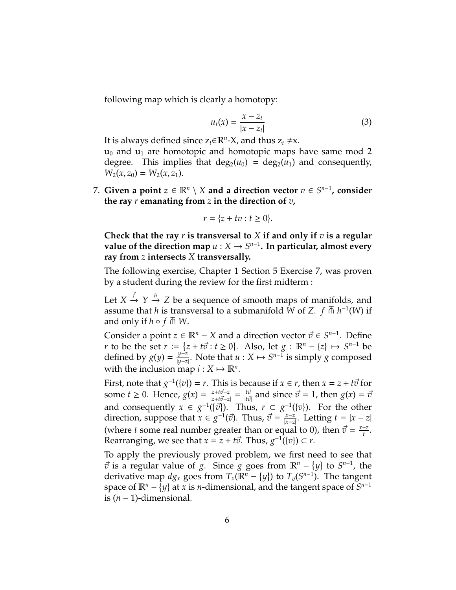following map which is clearly a homotopy:

$$
u_t(x) = \frac{x - z_t}{|x - z_t|}
$$
 (3)

It is always defined since  $z_t \in \mathbb{R}^n$ -X, and thus  $z_t \neq x$ .  $u_0$  and  $u_1$  are homotopic and homotopic maps have same mod 2 degree. This implies that  $deg_2(u_0) = deg_2(u_1)$  and consequently,  $W_2(x, z_0) = W_2(x, z_1)$ .

 $7.$  Given a point  $z \in \mathbb{R}^n \setminus X$  and a direction vector  $v \in S^{n-1}$ , consider **the ray** *r* **emanating from** *z* **in the direction of** *v***,**

$$
r = \{z + tv : t \ge 0\}.
$$

**Check that the ray** *r* **is transversal to** *X* **if and only if** *v* **is a regular** value of the direction map  $u: X \to S^{n-1}$ . In particular, almost every **ray from** *z* **intersects** *X* **transversally.**

The following exercise, Chapter 1 Section 5 Exercise 7, was proven by a student during the review for the first midterm :

Let  $X \stackrel{f}{\rightarrow} Y \stackrel{h}{\rightarrow} Z$  be a sequence of smooth maps of manifolds, and assume that *h* is transversal to a submanifold *W* of *Z*.  $f \oplus h^{-1}(W)$  if assume that *n* is trans<br>and only if *h* ∘ *f*  $\overline{M}$  *W*.

Consider a point  $z \in \mathbb{R}^n - X$  and a direction vector  $\vec{v} \in S^{n-1}$ . Define *r* to be the set  $r := \{z + t\vec{v} : t \ge 0\}$ . Also, let  $g : \mathbb{R}^n - \{z\} \mapsto S^{n-1}$  be defined by  $g(y) = \frac{y-z}{|y-z|}$ *y*<sup>−*z*</sup></sup>. Note that *u* : *X*  $\mapsto$  *S*<sup>*n*−1</sup> is simply *g* composed with the inclusion map  $i: X \mapsto \mathbb{R}^n$ .

First, note that  $g^{-1}(\lbrace v \rbrace) = r$ . This is because if  $x \in r$ , then  $x = z + t\vec{v}$  for some *t*  $\geq$  0. Hence,  $g(x) = \frac{z + t\vec{v} - z}{|z + t\vec{v} - z|}$  $\frac{z+t\vec{\sigma}-z}{|z+t\vec{\sigma}-z|} = \frac{t\vec{\sigma}}{|t\vec{\sigma}|}$  and since  $\vec{\sigma} = 1$ , then  $g(x) = \vec{v}$ and consequently  $x \in g^{-1}(\{\vec{v}\})$ . Thus,  $r \subset g^{-1}(\{v\})$ . For the other direction, suppose that  $\vec{x} \in \vec{g}^{-1}(\vec{v})$ . Thus,  $\vec{v} = \frac{x-z}{|x-z|}$ |*x*−*z*| . Letting *t* = |*x* − *z*| (where *t* some real number greater than or equal to 0), then  $\vec{v} = \frac{x-z}{t}$  $\frac{-z}{t}$ . Rearranging, we see that  $x = z + t\vec{v}$ . Thus,  $g^{-1}(\lbrace v \rbrace) \subset r$ .

To apply the previously proved problem, we first need to see that  $\vec{v}$  is a regular value of *g*. Since *g* goes from  $\mathbb{R}^n - \{y\}$  to  $S^{n-1}$ , the derivative map  $dg_x$  goes from  $T_x(\mathbb{R}^n - \{y\})$  to  $T_{\vec{v}}(S^{n-1})$ . The tangent space of  $\mathbb{R}^n - \{y\}$  at *x* is *n*-dimensional, and the tangent space of  $S^{n-1}$ is (*n* − 1)-dimensional.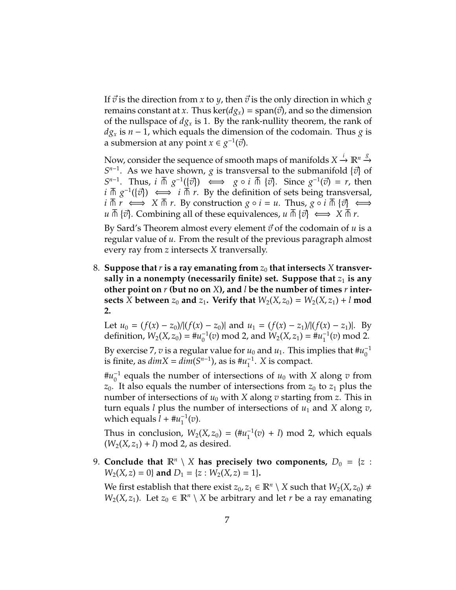If  $\vec{v}$  is the direction from *x* to *y*, then  $\vec{v}$  is the only direction in which *g* remains constant at *x*. Thus ker( $d*g*<sub>x</sub>$ ) = span( $\vec{v}$ ), and so the dimension of the nullspace of  $dg_x$  is 1. By the rank-nullity theorem, the rank of *d* $g_x$  is *n* − 1, which equals the dimension of the codomain. Thus *g* is a submersion at any point *x* ∈  $g^{-1}(\vec{v})$ .

Now, consider the sequence of smooth maps of manifolds  $X \xrightarrow{i} \mathbb{R}^n \xrightarrow{g}$  $S^{n-1}$ . As we have shown, *g* is transversal to the submanifold  $\{\vec{v}\}\$  of  $S^{n-1}$ . Thus, *i*  $\overline{\pitchfork}$   $g^{-1}(\{\vec{v}\})$   $\iff$   $g \circ i \overline{\pitchfork}$   $\{\vec{v}\}\)$ . Since  $g^{-1}(\vec{v}) = r$ , then  $i \overline{\wedge} g^{-1}(\{\vec{v}\}) \iff i \overline{\wedge} r$ . By the definition of sets being transversal, *i*  $\overline{n}$  *r*  $\iff$  *x*  $\overline{n}$  *r*. By construction *g* ◦ *i* = *u*. Thus, *g* ◦ *i*  $\overline{n}$  { $\overrightarrow{v}$ }  $\iff$ *u*  $\overline{n}$  { $\overline{v}$ }. Combining all of these equivalences, *u*  $\overline{n}$  { $\overline{v}$ }  $\iff$  *X*  $\overline{n}$  *r*.

By Sard's Theorem almost every element  $\vec{v}$  of the codomain of  $u$  is a regular value of *u*. From the result of the previous paragraph almost every ray from *z* intersects *X* tranversally.

8. Suppose that *r* is a ray emanating from  $z_0$  that intersects X transversally in a nonempty (necessarily finite) set. Suppose that  $z_1$  is any **other point on** *r* **(but no on** *X***), and** *l* **be the number of times** *r* **intersects** *X* between  $z_0$  and  $z_1$ . Verify that  $W_2(X, z_0) = W_2(X, z_1) + l$  mod **2.**

Let  $u_0 = (f(x) - z_0)/[(f(x) - z_0)]$  and  $u_1 = (f(x) - z_1)/[(f(x) - z_1)]$ . By definition,  $W_2(X, z_0) = #u_0^{-1}$  $v_0^{-1}(v)$  mod 2, and  $W_2(X, z_1) = #u_1^{-1}$  $1/(v) \mod 2$ .

By exercise 7, *v* is a regular value for  $u_0$  and  $u_1$ . This implies that  $\#u_0^{-1}$  $\theta$ is finite, as  $dim X = dim(S^{n-1})$ , as is  $\#u_1^{-1}$  $1<sup>-1</sup>$ . *X* is compact.

 $\mu_0^{-1}$  $\sigma_0^{-1}$  equals the number of intersections of  $u_0$  with X along  $v$  from  $z_0$ . It also equals the number of intersections from  $z_0$  to  $z_1$  plus the number of intersections of  $u_0$  with *X* along *v* starting from *z*. This in turn equals *l* plus the number of intersections of *u*<sup>1</sup> and *X* along *v*, which equals  $l + #u_1^{-1}$  $i_1^{-1}(v)$ .

Thus in conclusion,  $W_2(X, z_0) = (\# u_1^{-1})$  $1/(v) + l$ ) mod 2, which equals  $(W_2(X, z_1) + l) \text{ mod } 2$ , as desired.

9. **Conclude that**  $\mathbb{R}^n \setminus X$  has precisely two components,  $D_0 = \{z :$  $W_2(X, z) = 0$  and  $D_1 = \{z : W_2(X, z) = 1\}.$ 

We first establish that there exist  $z_0, z_1 \in \mathbb{R}^n \setminus X$  such that  $W_2(X, z_0) \neq$ *W*<sub>2</sub>(*X*, *z*<sub>1</sub>). Let *z*<sup>0</sup> ∈  $\mathbb{R}^n$  \ *X* be arbitrary and let *r* be a ray emanating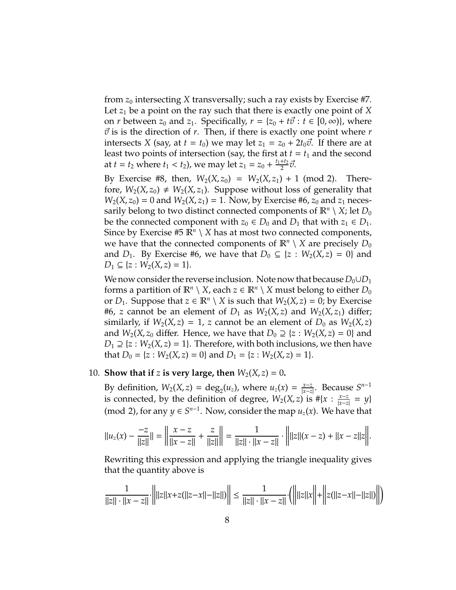from  $z_0$  intersecting *X* transversally; such a ray exists by Exercise #7. Let  $z_1$  be a point on the ray such that there is exactly one point of  $X$ on *r* between  $z_0$  and  $z_1$ . Specifically,  $r = \{z_0 + t\vec{v} : t \in [0, \infty)\}\)$ , where  $\vec{v}$  is is the direction of *r*. Then, if there is exactly one point where *r* intersects *X* (say, at  $t = t_0$ ) we may let  $z_1 = z_0 + 2t_0\vec{v}$ . If there are at least two points of intersection (say, the first at  $t = t_1$  and the second at *t* = *t*<sub>2</sub> where *t*<sub>1</sub> < *t*<sub>2</sub>), we may let  $z_1 = z_0 + \frac{t_1 + t_2}{2}$  $rac{+t_2}{2}\vec{v}.$ 

By Exercise #8, then,  $W_2(X, z_0) = W_2(X, z_1) + 1 \pmod{2}$ . Therefore,  $W_2(X, z_0) \neq W_2(X, z_1)$ . Suppose without loss of generality that  $W_2(X, z_0) = 0$  and  $W_2(X, z_1) = 1$ . Now, by Exercise #6,  $z_0$  and  $z_1$  necessarily belong to two distinct connected components of  $\mathbb{R}^n\setminus X$ ; let  $D_0$ be the connected component with  $z_0 \in D_0$  and  $D_1$  that with  $z_1 \in D_1$ . Since by Exercise #5  $\mathbb{R}^n \setminus X$  has at most two connected components, we have that the connected components of  $\mathbb{R}^n \setminus X$  are precisely  $D_0$ and  $D_1$ . By Exercise #6, we have that  $D_0 \subseteq \{z : W_2(X, z) = 0\}$  and  $D_1 \subseteq \{z : W_2(X, z) = 1\}.$ 

We now consider the reverse inclusion. Note now that because  $D_0 \cup D_1$ forms a partition of  $\mathbb{R}^n \setminus X$ , each  $z \in \mathbb{R}^n \setminus X$  must belong to either  $D_0$ or  $D_1$ . Suppose that  $z \in \mathbb{R}^n \setminus X$  is such that  $W_2(X, z) = 0$ ; by Exercise #6, *z* cannot be an element of  $D_1$  as  $W_2(X, z)$  and  $W_2(X, z_1)$  differ; similarly, if  $W_2(X, z) = 1$ , *z* cannot be an element of  $D_0$  as  $W_2(X, z)$ and  $W_2(X, z_0)$  differ. Hence, we have that  $D_0 \supseteq \{z : W_2(X, z) = 0\}$  and  $D_1 \supseteq \{z: W_2(X, z) = 1\}$ . Therefore, with both inclusions, we then have that  $D_0 = \{z : W_2(X, z) = 0\}$  and  $D_1 = \{z : W_2(X, z) = 1\}.$ 

### 10. **Show that if** *z* is very large, then  $W_2(X, z) = 0$ .

By definition,  $W_2(X, z) = \deg_2(u_z)$ , where  $u_z(x) = \frac{x - z}{|x - z|}$ |*x*−*z*| . Because *S n*−1 is connected, by the definition of degree,  $W_2(X, z)$  is  $#{x}: \frac{x-z}{|x-z|}$  $\frac{x-z}{|x-z|} = y$ } (mod 2), for any  $y \in S^{n-1}$ . Now, consider the map  $u_z(x)$ . We have that

$$
||u_z(x) - \frac{-z}{||z||}|| = \left\| \frac{x-z}{||x-z||} + \frac{z}{||z||} \right\| = \frac{1}{||z|| \cdot ||x-z||} \cdot \left\| ||z||(x-z) + ||x-z||z|| \right\|.
$$

Rewriting this expression and applying the triangle inequality gives that the quantity above is

$$
\frac{1}{\|z\|\cdot\|x-z\|} \cdot \left\| |z||x+z(||z-x||-||z||) \right\| \le \frac{1}{\|z\|\cdot\|x-z\|} \cdot \left( \left\| |z||x| \right\| + \left\| z(||z-x||-||z||) \right\| \right)
$$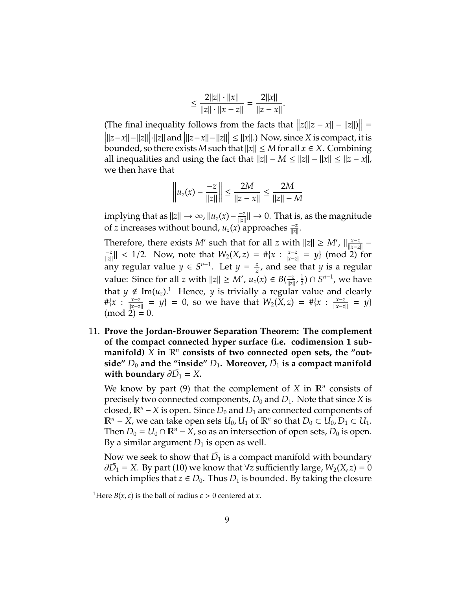$$
\leq \frac{2||z|| \cdot ||x||}{||z|| \cdot ||x - z||} = \frac{2||x||}{||z - x||}.
$$

The final inequality follows from the facts that  $||z(||z - x|| - ||z||)|| =$ <br> $|||z - x|| - ||z|| \cdot ||z||$  and  $|||z - x|| - ||z|| \cdot ||z|| \cdot ||x||$ .) Now since *X* is compact, it is  $\|z-x\|$ − $\|z\|$ <sup>1</sup> $\|z\|$  and  $\|z-x\|$ − $\|z\|$   $\leq \|x\|$ .) Now, since *X* is compact, it is key and a set here exists *M* such that  $\|w\| \leq M$  for all  $x \in X$ . Combining bounded, so there exists *M* such that  $||x|| \leq M$  for all  $x \in X$ . Combining all inequalities and using the fact that  $||z|| - M \le ||z|| - ||x|| \le ||z - x||$ , we then have that

$$
\left\| u_z(x) - \frac{-z}{\|z\|} \right\| \le \frac{2M}{\|z - x\|} \le \frac{2M}{\|z\| - M}
$$

 $\frac{1}{2}$  implying that as  $||z|| \to \infty$ ,  $||u_z(x) - \frac{z}{||z||}$  $\frac{-z}{\|z\|}\| \to 0$ . That is, as the magnitude of *z* increases without bound,  $u_z(x)$  approaches  $\frac{-z}{\|z\|}$ .

Therefore, there exists *M'* such that for all *z* with  $||z|| \ge M'$ ,  $||\frac{x-z}{||x-z||}$ <del>*x*−*z*</del> −<br>||x−*z*|| −*z*  $\frac{z}{\|z\|}$  < 1/2. Now, note that  $W_2(X, z) = #\{x : \frac{x-z}{|x-z|}$ |*x*−*z*| = *y*} (mod 2) for any regular value  $y \in S^{n-1}$ . Let  $y = \frac{z}{|z|}$ , and see that *y* is a regular value: Since for all *z* with  $||z|| \ge M'$ ,  $u_z(x) \in B(\frac{-z}{||z||})$  $\frac{-z}{\|z\|}$ ,  $\frac{1}{2}$  $\frac{1}{2}$ ) ∩  $S^{n-1}$ , we have that  $y \notin \text{Im}(u_z)$ .<sup>1</sup> Hence, *y* is trivially a regular value and clearly #{*x* : *x*−*z*  $\frac{x-z}{||x-z||}$  = *y*} = 0, so we have that  $W_2(X, z) = #{x : \frac{x-z}{||x-z||}}$  $\frac{x-z}{\|x-z\|} = y$ }  $(mod 2) = 0.$ 

11. **Prove the Jordan-Brouwer Separation Theorem: The complement of the compact connected hyper surface (i.e. codimension 1 sub**manifold)  $\tilde{X}$  in  $\mathbb{R}^n$  consists of two connected open sets, the "out- $\mathbf{s}$ ide"  $D_0$  and the "inside"  $D_1$ . Moreover,  $\bar{D_1}$  is a compact manifold with boundary  $\partial \bar{D_1} = X$ .

We know by part (9) that the complement of  $X$  in  $\mathbb{R}^n$  consists of precisely two connected components,  $D_0$  and  $D_1$ . Note that since *X* is closed,  $\mathbb{R}^n$  − *X* is open. Since  $D_0$  and  $D_1$  are connected components of  $\mathbb{R}^n$  − *X*, we can take open sets  $U_0$ ,  $U_1$  of  $\mathbb{R}^n$  so that  $D_0 \subset U_0$ ,  $D_1 \subset U_1$ . Then  $D_0 = U_0 \cap \mathbb{R}^n - X$ , so as an intersection of open sets,  $D_0$  is open. By a similar argument  $D_1$  is open as well.

Now we seek to show that  $\bar{D_1}$  is a compact manifold with boundary  $\partial \bar{D_1} = X$ . By part (10) we know that  $\forall z$  sufficiently large,  $W_2(X, z) = 0$ which implies that  $z \in D_0$ . Thus  $D_1$  is bounded. By taking the closure

<sup>&</sup>lt;sup>1</sup>Here *B*(*x*,  $\epsilon$ ) is the ball of radius  $\epsilon > 0$  centered at *x*.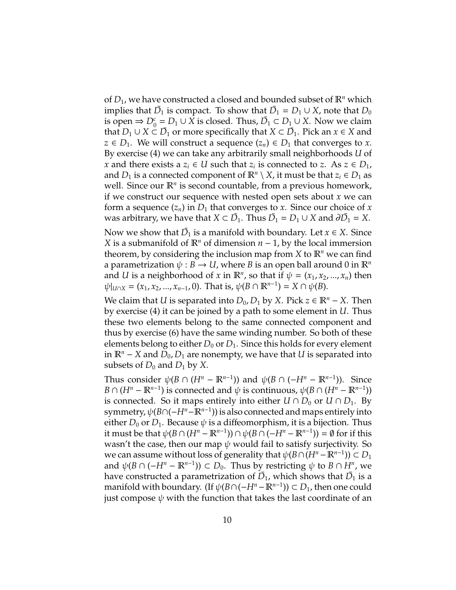of  $D_1$ , we have constructed a closed and bounded subset of  $\mathbb{R}^n$  which implies that  $\bar{D_1}$  is compact. To show that  $\bar{D_1} = D_1 \cup X$ , note that  $D_0$ is open  $\Rightarrow$   $D_0^c = D_1 \cup \overline{X}$  is closed. Thus,  $\overline{D}_1 \subset D_1 \cup X$ . Now we claim that  $D_1 \cup X \subseteq \overline{D}_1$  or more specifically that  $X \subset \overline{D}_1$ . Pick an  $x \in X$  and *z* ∈ *D*<sub>1</sub>. We will construct a sequence  $(z_n)$  ∈ *D*<sub>1</sub> that converges to *x*. By exercise (4) we can take any arbitrarily small neighborhoods *U* of *x* and there exists a  $z_i \in U$  such that  $z_i$  is connected to *z*. As  $z \in D_1$ , and  $D_1$  is a connected component of  $\mathbb{R}^n \setminus X$ , it must be that  $z_i \in D_1$  as well. Since our  $\mathbb{R}^n$  is second countable, from a previous homework, if we construct our sequence with nested open sets about *x* we can form a sequence  $(z_n)$  in  $D_1$  that converges to *x*. Since our choice of *x* was arbitrary, we have that  $X \subset \overline{D}_1$ . Thus  $\overline{D}_1 = D_1 \cup X$  and  $\partial \overline{D}_1 = X$ .

Now we show that  $\bar{D_1}$  is a manifold with boundary. Let  $x \in X$ . Since *X* is a submanifold of  $\mathbb{R}^n$  of dimension *n* − 1, by the local immersion theorem, by considering the inclusion map from  $X$  to  $\mathbb{R}^n$  we can find a parametrization  $\psi : B \to U$ , where *B* is an open ball around 0 in  $\mathbb{R}^n$ and *U* is a neighborhood of *x* in  $\mathbb{R}^n$ , so that if  $\psi = (x_1, x_2, ..., x_n)$  then  $\psi|_{U \cap X} = (x_1, x_2, ..., x_{n-1}, 0)$ . That is,  $\psi(B \cap \mathbb{R}^{n-1}) = X \cap \psi(B)$ .

We claim that *U* is separated into  $D_0$ ,  $D_1$  by *X*. Pick *z* ∈  $\mathbb{R}^n$  − *X*. Then by exercise (4) it can be joined by a path to some element in *U*. Thus these two elements belong to the same connected component and thus by exercise (6) have the same winding number. So both of these elements belong to either  $D_0$  or  $D_1$ . Since this holds for every element in  $\mathbb{R}^n$  − *X* and  $D_0$ ,  $D_1$  are nonempty, we have that *U* is separated into subsets of  $D_0$  and  $D_1$  by X.

Thus consider  $\psi(B \cap (H^n - \mathbb{R}^{n-1}))$  and  $\psi(B \cap (-H^n - \mathbb{R}^{n-1}))$ . Since *B* ∩ (*H*<sup>*n*</sup> −  $\mathbb{R}^{n-1}$ ) is connected and  $\psi$  is continuous,  $\psi$ (*B* ∩ (*H*<sup>*n*</sup> −  $\mathbb{R}^{n-1}$ )) is connected. So it maps entirely into either  $U \cap D_0$  or  $U \cap D_1$ . By symmetry, ψ(*B*∩(−*H<sup>n</sup>*−R*n*−<sup>1</sup> )) is also connected and maps entirely into either  $D_0$  or  $D_1$ . Because  $\psi$  is a diffeomorphism, it is a bijection. Thus it must be that  $\psi(B \cap (H^n - \mathbb{R}^{n-1})) \cap \psi(B \cap (-H^n - \mathbb{R}^{n-1})) = \emptyset$  for if this wasn't the case, then our map  $\psi$  would fail to satisfy surjectivity. So we can assume without loss of generality that  $\psi(B \cap (H^n - \mathbb{R}^{n-1})) \subset D_1$ and  $\psi(B \cap (-H^n - \mathbb{R}^{n-1})) \subset D_0$ . Thus by restricting  $\psi$  to  $B \cap H^n$ , we have constructed a parametrization of  $\bar{D_{1}}$ , which shows that  $\bar{D_{1}}$  is a manifold with boundary. (If  $\psi(B \cap (-H^n - \mathbb{R}^{n-1})) \subset D_1$ , then one could just compose  $\psi$  with the function that takes the last coordinate of an